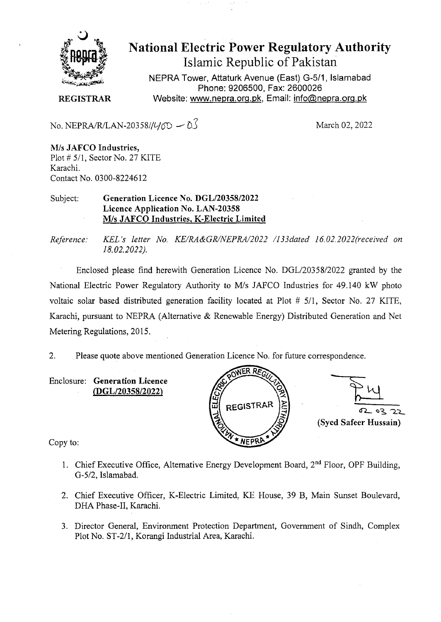

National Electric Power Regulatory Authority Islamic Republic of Pakistan

NEPRA Tower, Attaturk Avenue (East) G-511, **Islamabad Phone: 9206500, Fax: 2600026**  Website: www.nepra.org.pk, Email: info@nepra.org.pk

**REGISTRAR** 

No. NEPRA/R/LAN-20358// $\frac{1}{10} - 0.3$  March 02, 2022

*MIs* **JAFCO Industries,**  Plot # 5/1, Sector No. 27 KITE Karachi. Contact No. 0300-82246 12

Subject: **Generation Licence No. DGL/20358/2022 Licence Application No. LAN-20358**  *MIs* **JAFCO Industries,** K**-Electric Limited** 

*Reference. KEL 's letter No. KE/RA&GR/NEPRA/2022 /133dated 16.02. 2022(received on 18.02.2022).* 

Enclosed please find herewith Generation Licence No. DGL/20358/2022 granted by the National Electric Power Regulatory Authority to M/s JAFCO Industries for 49.140 kW photo voltaic solar based distributed generation facility located at Plot # *5/1,* Sector No. 27 KITE, Karachi, pursuant to NEPRA (Alternative & Renewable Energy) Distributed Generation and Net Metering Regulations, 2015.

2. Please quote above mentioned Generation Licence No. for future correspondence.

Enclosure: **Generation Licence (DGL/20358/2022)** 





Copy to:

- 1. Chief Executive Office, Alternative Energy Development Board,  $2<sup>nd</sup>$  Floor, OPF Building, *G-5/2,* Islamabad.
- 2. Chief Executive Officer, K-Electric Limited. KE House, 39 B, Main Sunset Boulevard, DHA Phase-Il, Karachi.
- 3. Director General, Environment Protection Department, Government of Sindh, Complex Plot No. ST-2/l, Korangi Industrial Area, Karachi.